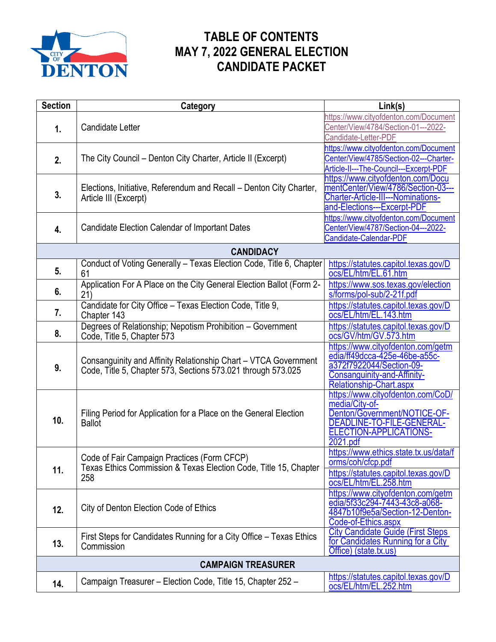

## **TABLE OF CONTENTS MAY 7, 2022 GENERAL ELECTION CANDIDATE PACKET**

| <b>Section</b>            | Category                                                                                                                        | Link(s)                                                                                                                                                       |  |
|---------------------------|---------------------------------------------------------------------------------------------------------------------------------|---------------------------------------------------------------------------------------------------------------------------------------------------------------|--|
| 1.                        | Candidate Letter                                                                                                                | https://www.cityofdenton.com/Document<br>Center/View/4784/Section-01---2022-<br>Candidate-Letter-PDF                                                          |  |
| 2.                        | The City Council – Denton City Charter, Article II (Excerpt)                                                                    | https://www.cityofdenton.com/Document<br>Center/View/4785/Section-02---Charter-<br>Article-II---The-Council---Excerpt-PDF                                     |  |
| 3.                        | Elections, Initiative, Referendum and Recall - Denton City Charter,<br>Article III (Excerpt)                                    | https://www.cityofdenton.com/Docu<br>mentCenter/View/4786/Section-03---<br><b>Charter-Article-III---Nominations-</b><br>and-Elections---Excerpt-PDF           |  |
| 4.                        | <b>Candidate Election Calendar of Important Dates</b>                                                                           | https://www.cityofdenton.com/Document<br>Center/View/4787/Section-04---2022-<br>Candidate-Calendar-PDF                                                        |  |
|                           | <b>CANDIDACY</b>                                                                                                                |                                                                                                                                                               |  |
| 5.                        | Conduct of Voting Generally - Texas Election Code, Title 6, Chapter<br>61                                                       | https://statutes.capitol.texas.gov/D<br>ocs/EL/htm/EL.61.htm                                                                                                  |  |
| 6.                        | Application For A Place on the City General Election Ballot (Form 2-<br>21)                                                     | https://www.sos.texas.gov/election<br>s/forms/pol-sub/2-21f.pdf                                                                                               |  |
| 7.                        | Candidate for City Office - Texas Election Code, Title 9,<br>Chapter 143                                                        | https://statutes.capitol.texas.gov/D<br>ocs/EL/htm/EL.143.htm                                                                                                 |  |
| 8.                        | Degrees of Relationship; Nepotism Prohibition - Government<br>Code, Title 5, Chapter 573                                        | https://statutes.capitol.texas.gov/D<br>ocs/GV/htm/GV.573.htm                                                                                                 |  |
| 9.                        | Consanguinity and Affinity Relationship Chart - VTCA Government<br>Code, Title 5, Chapter 573, Sections 573.021 through 573.025 | https://www.cityofdenton.com/getm<br>edia/ff49dcca-425e-46be-a55c-<br>a372f7922044/Section-09-<br>Consanguinity-and-Affinity-<br>Relationship-Chart.aspx      |  |
| 10.                       | Filing Period for Application for a Place on the General Election<br><b>Ballot</b>                                              | https://www.cityofdenton.com/CoD/<br>media/City-of-<br>Denton/Government/NOTICE-OF-<br>DEADLINE-TO-FILE-GENERAL-<br><b>ELECTION-APPLICATIONS-</b><br>2021.pdf |  |
| 11.                       | Code of Fair Campaign Practices (Form CFCP)<br>Texas Ethics Commission & Texas Election Code, Title 15, Chapter<br>258          | https://www.ethics.state.tx.us/data/f<br>orms/coh/cfcp.pdf<br>https://statutes.capitol.texas.gov/D<br>ocs/EL/htm/EL.258.htm                                   |  |
| 12.                       | City of Denton Election Code of Ethics                                                                                          | https://www.cityofdenton.com/getm<br>edia/5f33c294-7443-43c8-a068-<br>4847b10f9e5a/Section-12-Denton-<br>Code-of-Ethics.aspx                                  |  |
| 13.                       | First Steps for Candidates Running for a City Office - Texas Ethics<br>Commission                                               | <b>City Candidate Guide (First Steps)</b><br>for Candidates Running for a City<br>Office) (state.tx.us)                                                       |  |
| <b>CAMPAIGN TREASURER</b> |                                                                                                                                 |                                                                                                                                                               |  |
| 14.                       | Campaign Treasurer - Election Code, Title 15, Chapter 252 -                                                                     | https://statutes.capitol.texas.gov/D<br>ocs/EL/htm/EL.252.htm                                                                                                 |  |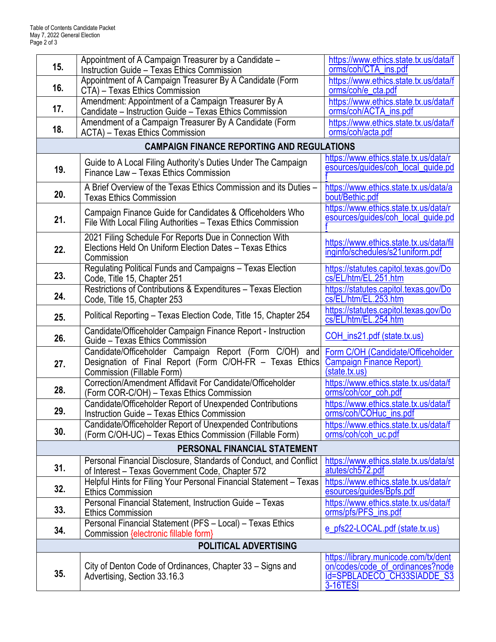| 15.                          | Appointment of A Campaign Treasurer by a Candidate -<br><b>Instruction Guide - Texas Ethics Commission</b>                                       | https://www.ethics.state.tx.us/data/f<br>orms/coh/CTA_ins.pdf                                                                    |  |  |
|------------------------------|--------------------------------------------------------------------------------------------------------------------------------------------------|----------------------------------------------------------------------------------------------------------------------------------|--|--|
| 16.                          | Appointment of A Campaign Treasurer By A Candidate (Form<br>CTA) - Texas Ethics Commission                                                       | https://www.ethics.state.tx.us/data/f<br>orms/coh/e_cta.pdf                                                                      |  |  |
| 17.                          | Amendment: Appointment of a Campaign Treasurer By A                                                                                              | https://www.ethics.state.tx.us/data/f                                                                                            |  |  |
|                              | Candidate – Instruction Guide – Texas Ethics Commission<br>Amendment of a Campaign Treasurer By A Candidate (Form                                | orms/coh/ACTA_ins.pdf<br>https://www.ethics.state.tx.us/data/f                                                                   |  |  |
| 18.                          | ACTA) - Texas Ethics Commission                                                                                                                  | orms/coh/acta.pdf                                                                                                                |  |  |
|                              | <b>CAMPAIGN FINANCE REPORTING AND REGULATIONS</b>                                                                                                |                                                                                                                                  |  |  |
| 19.                          | Guide to A Local Filing Authority's Duties Under The Campaign<br>Finance Law - Texas Ethics Commission                                           | https://www.ethics.state.tx.us/data/r<br>esources/guides/coh_local_guide.pd                                                      |  |  |
| 20.                          | A Brief Overview of the Texas Ethics Commission and its Duties -<br><b>Texas Ethics Commission</b>                                               | https://www.ethics.state.tx.us/data/a<br>bout/Bethic.pdf                                                                         |  |  |
| 21.                          | Campaign Finance Guide for Candidates & Officeholders Who<br>File With Local Filing Authorities - Texas Ethics Commission                        | https://www.ethics.state.tx.us/data/r<br>esources/guides/coh_local_guide.pd                                                      |  |  |
| 22.                          | 2021 Filing Schedule For Reports Due in Connection With<br>Elections Held On Uniform Election Dates - Texas Ethics<br>Commission                 | https://www.ethics.state.tx.us/data/fil<br>inginfo/schedules/s21uniform.pdf                                                      |  |  |
| 23.                          | Regulating Political Funds and Campaigns - Texas Election<br>Code, Title 15, Chapter 251                                                         | https://statutes.capitol.texas.gov/Do<br>cs/EL/htm/EL.251.htm                                                                    |  |  |
| 24.                          | Restrictions of Contributions & Expenditures - Texas Election<br>Code, Title 15, Chapter 253                                                     | https://statutes.capitol.texas.gov/Do<br>cs/EL/htm/EL.253.htm                                                                    |  |  |
| 25.                          | Political Reporting - Texas Election Code, Title 15, Chapter 254                                                                                 | https://statutes.capitol.texas.gov/Do<br>cs/EL/htm/EL.254.htm                                                                    |  |  |
| 26.                          | Candidate/Officeholder Campaign Finance Report - Instruction<br>Guide - Texas Ethics Commission                                                  | COH_ins21.pdf (state.tx.us)                                                                                                      |  |  |
| 27.                          | Candidate/Officeholder Campaign Report (Form C/OH) and<br>Designation of Final Report (Form C/OH-FR - Texas Ethics<br>Commission (Fillable Form) | Form C/OH (Candidate/Officeholder<br><b>Campaign Finance Report)</b><br>(state.tx.us)                                            |  |  |
| 28.                          | Correction/Amendment Affidavit For Candidate/Officeholder<br>(Form COR-C/OH) - Texas Ethics Commission                                           | https://www.ethics.state.tx.us/data/f<br>orms/coh/cor_coh.pdf                                                                    |  |  |
| 29.                          | Candidate/Officeholder Report of Unexpended Contributions<br><b>Instruction Guide - Texas Ethics Commission</b>                                  | https://www.ethics.state.tx.us/data/f<br>orms/coh/COHuc_ins.pdf                                                                  |  |  |
| 30.                          | Candidate/Officeholder Report of Unexpended Contributions<br>(Form C/OH-UC) – Texas Ethics Commission (Fillable Form)                            | https://www.ethics.state.tx.us/data/f<br>orms/coh/coh uc.pdf                                                                     |  |  |
| PERSONAL FINANCIAL STATEMENT |                                                                                                                                                  |                                                                                                                                  |  |  |
| 31.                          | Personal Financial Disclosure, Standards of Conduct, and Conflict<br>of Interest - Texas Government Code, Chapter 572                            | https://www.ethics.state.tx.us/data/st<br>atutes/ch572.pdf                                                                       |  |  |
| 32.                          | Helpful Hints for Filing Your Personal Financial Statement - Texas<br><b>Ethics Commission</b>                                                   | https://www.ethics.state.tx.us/data/r<br>esources/guides/Bpfs.pdf                                                                |  |  |
| 33.                          | Personal Financial Statement, Instruction Guide - Texas<br><b>Ethics Commission</b>                                                              | https://www.ethics.state.tx.us/data/f<br>orms/pfs/PFS_ins.pdf                                                                    |  |  |
| 34.                          | Personal Financial Statement (PFS - Local) - Texas Ethics<br>Commission {electronic fillable form}                                               | e pfs22-LOCAL.pdf (state.tx.us)                                                                                                  |  |  |
| <b>POLITICAL ADVERTISING</b> |                                                                                                                                                  |                                                                                                                                  |  |  |
| 35.                          | City of Denton Code of Ordinances, Chapter 33 – Signs and<br>Advertising, Section 33.16.3                                                        | https://library.municode.com/tx/dent<br>on/codes/code_of_ordinances?node<br><b>Id=SPBLADECO CH33SIADDE S3</b><br><b>3-16TESI</b> |  |  |